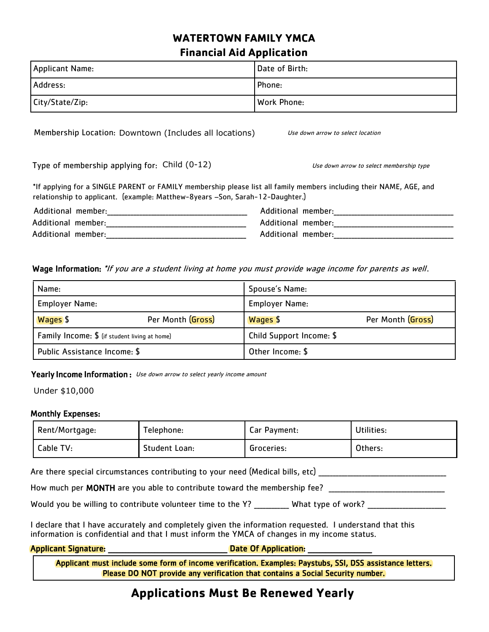# **WATERTOWN FAMILY YMCA**

### **Financial Aid Application**

| <b>Applicant Name:</b> | Date of Birth:     |
|------------------------|--------------------|
| Address:               | Phone:             |
| City/State/Zip:        | <b>Work Phone:</b> |

Membership Location: Downtown (Includes all locations)

Use down arrow to select location

Type of membership applying for: Child (0-12)

| Additional member: | Additional member: |
|--------------------|--------------------|
| Additional member: | Additional member: |
| Additional member: | Additional member: |

| Type of membership applying for: Child $(0-12)$                               | Use down arrow to select membership type                                                                            |  |  |
|-------------------------------------------------------------------------------|---------------------------------------------------------------------------------------------------------------------|--|--|
| relationship to applicant. (example: Matthew-8years -Son, Sarah-12-Daughter.) | *If applying for a SINGLE PARENT or FAMILY membership please list all family members including their NAME, AGE, and |  |  |
|                                                                               | Additional member: 2008 2010 2021 2022 2023                                                                         |  |  |
|                                                                               |                                                                                                                     |  |  |
|                                                                               |                                                                                                                     |  |  |
| Name:                                                                         | Spouse's Name:                                                                                                      |  |  |
| <b>Employer Name:</b>                                                         | <b>Employer Name:</b>                                                                                               |  |  |
| Per Month (Gross)<br>Wages \$                                                 | Per Month (Gross)<br>Wages \$                                                                                       |  |  |
| Family Income: \$ (if student living at home)                                 | Child Support Income: \$                                                                                            |  |  |
| Public Assistance Income: \$                                                  | Other Income: \$                                                                                                    |  |  |
|                                                                               |                                                                                                                     |  |  |
| Yearly Income Information: Use down arrow to select yearly income amount      |                                                                                                                     |  |  |

#### Monthly Expenses:

| Rent/Mortgage: | Telephone:    | Car Payment: | Utilities: |
|----------------|---------------|--------------|------------|
| Cable TV:      | Student Loan: | Groceries:   | Others:    |

Are there special circumstances contributing to your need (Medical bills, etc) \_\_\_\_\_\_\_\_\_\_\_\_\_\_\_\_\_\_\_\_\_\_\_\_\_\_\_\_\_\_\_

How much per MONTH are you able to contribute toward the membership fee?

Would you be willing to contribute volunteer time to the Y? What type of work?

I declare that I have accurately and completely given the information requested. I understand that this information is confidential and that I must inform the YMCA of changes in my income status.

Applicant Signature: \_\_\_\_\_\_\_\_\_\_\_\_\_\_\_\_\_\_\_\_\_\_\_\_\_\_\_\_\_\_\_\_\_\_\_\_\_\_\_\_\_ Date Of Application: \_\_\_\_\_\_\_\_\_\_\_\_\_\_\_\_\_\_\_\_\_\_

Applicant must include some form of income verification. Examples: Paystubs, SSI, DSS assistance letters. Please DO NOT provide any verification that contains a Social Security number.

# **Applications Must Be Renewed Yearly**